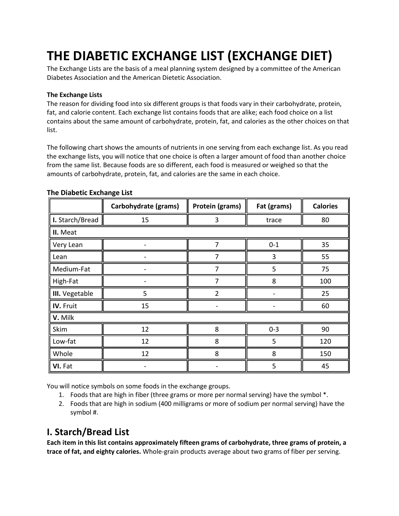# **THE DIABETIC EXCHANGE LIST (EXCHANGE DIET)**

The Exchange Lists are the basis of a meal planning system designed by a committee of the American Diabetes Association and the American Dietetic Association.

#### **The Exchange Lists**

The reason for dividing food into six different groups is that foods vary in their carbohydrate, protein, fat, and calorie content. Each exchange list contains foods that are alike; each food choice on a list contains about the same amount of carbohydrate, protein, fat, and calories as the other choices on that list.

The following chart shows the amounts of nutrients in one serving from each exchange list. As you read the exchange lists, you will notice that one choice is often a larger amount of food than another choice from the same list. Because foods are so different, each food is measured or weighed so that the amounts of carbohydrate, protein, fat, and calories are the same in each choice.

|                       | Carbohydrate (grams) | Protein (grams) | Fat (grams) | <b>Calories</b> |
|-----------------------|----------------------|-----------------|-------------|-----------------|
| I. Starch/Bread       | 15                   | 3               | trace       | 80              |
| II. Meat              |                      |                 |             |                 |
| Very Lean             |                      | 7               | $0 - 1$     | 35              |
| Lean                  |                      |                 | 3           | 55              |
| Medium-Fat            |                      | 7               | 5           | 75              |
| High-Fat              |                      |                 | 8           | 100             |
| <b>III.</b> Vegetable | 5                    | $\mathfrak{p}$  |             | 25              |
| IV. Fruit             | 15                   |                 |             | 60              |
| V. Milk               |                      |                 |             |                 |
| Skim                  | 12                   | 8               | $0 - 3$     | 90              |
| Low-fat               | 12                   | 8               | 5           | 120             |
| Whole                 | 12                   | 8               | 8           | 150             |
| VI. Fat               |                      |                 | 5           | 45              |

#### **The Diabetic Exchange List**

You will notice symbols on some foods in the exchange groups.

- 1. Foods that are high in fiber (three grams or more per normal serving) have the symbol \*.
- 2. Foods that are high in sodium (400 milligrams or more of sodium per normal serving) have the symbol #.

# **I. Starch/Bread List**

**Each item in this list contains approximately fifteen grams of carbohydrate, three grams of protein, a trace of fat, and eighty calories.** Whole-grain products average about two grams of fiber per serving.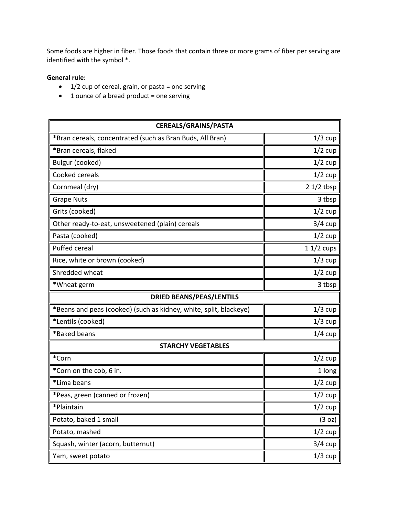Some foods are higher in fiber. Those foods that contain three or more grams of fiber per serving are identified with the symbol \*.

#### **General rule:**

- $\bullet$  1/2 cup of cereal, grain, or pasta = one serving
- 1 ounce of a bread product = one serving

| <b>CEREALS/GRAINS/PASTA</b>                                       |             |  |
|-------------------------------------------------------------------|-------------|--|
| *Bran cereals, concentrated (such as Bran Buds, All Bran)         | $1/3$ cup   |  |
| *Bran cereals, flaked                                             | $1/2$ cup   |  |
| Bulgur (cooked)                                                   | $1/2$ cup   |  |
| Cooked cereals                                                    | $1/2$ cup   |  |
| Cornmeal (dry)                                                    | $21/2$ tbsp |  |
| <b>Grape Nuts</b>                                                 | 3 tbsp      |  |
| Grits (cooked)                                                    | $1/2$ cup   |  |
| Other ready-to-eat, unsweetened (plain) cereals                   | $3/4$ cup   |  |
| Pasta (cooked)                                                    | $1/2$ cup   |  |
| Puffed cereal                                                     | $11/2$ cups |  |
| Rice, white or brown (cooked)                                     | $1/3$ cup   |  |
| Shredded wheat                                                    | $1/2$ cup   |  |
| *Wheat germ                                                       | 3 tbsp      |  |
| <b>DRIED BEANS/PEAS/LENTILS</b>                                   |             |  |
| *Beans and peas (cooked) (such as kidney, white, split, blackeye) | $1/3$ cup   |  |
| *Lentils (cooked)                                                 | $1/3$ cup   |  |
| *Baked beans                                                      | $1/4$ cup   |  |
| <b>STARCHY VEGETABLES</b>                                         |             |  |
| *Corn                                                             | $1/2$ cup   |  |
| *Corn on the cob, 6 in.                                           | 1 long      |  |
| *Lima beans                                                       | $1/2$ cup   |  |
| *Peas, green (canned or frozen)                                   | $1/2$ cup   |  |
| *Plaintain                                                        | $1/2$ cup   |  |
| Potato, baked 1 small                                             | (3 oz)      |  |
| Potato, mashed                                                    | $1/2$ cup   |  |
| Squash, winter (acorn, butternut)                                 | $3/4$ cup   |  |
| Yam, sweet potato                                                 | $1/3$ cup   |  |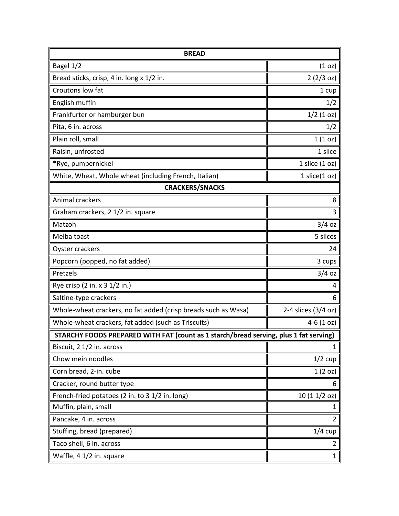| <b>BREAD</b>                                                                          |                     |  |
|---------------------------------------------------------------------------------------|---------------------|--|
| Bagel 1/2                                                                             | (1 <sub>O</sub> )   |  |
| Bread sticks, crisp, 4 in. long x 1/2 in.                                             | 2(2/3 oz)           |  |
| Croutons low fat                                                                      | 1 cup               |  |
| English muffin                                                                        | 1/2                 |  |
| Frankfurter or hamburger bun                                                          | $1/2$ (1 oz)        |  |
| Pita, 6 in. across                                                                    | 1/2                 |  |
| Plain roll, small                                                                     | 1(10z)              |  |
| Raisin, unfrosted                                                                     | 1 slice             |  |
| *Rye, pumpernickel                                                                    | 1 slice $(1 oz)$    |  |
| White, Wheat, Whole wheat (including French, Italian)                                 | $1$ slice $(1$ oz)  |  |
| <b>CRACKERS/SNACKS</b>                                                                |                     |  |
| Animal crackers                                                                       | 8                   |  |
| Graham crackers, 2 1/2 in. square                                                     | 3                   |  |
| Matzoh                                                                                | $3/4$ oz            |  |
| Melba toast                                                                           | 5 slices            |  |
| Oyster crackers                                                                       | 24                  |  |
| Popcorn (popped, no fat added)                                                        | 3 cups              |  |
| Pretzels                                                                              | $3/4$ oz            |  |
| Rye crisp (2 in. x 3 1/2 in.)                                                         | 4                   |  |
| Saltine-type crackers                                                                 | 6                   |  |
| Whole-wheat crackers, no fat added (crisp breads such as Wasa)                        | 2-4 slices (3/4 oz) |  |
| Whole-wheat crackers, fat added (such as Triscuits)                                   | $4-6(1 \text{ oz})$ |  |
| STARCHY FOODS PREPARED WITH FAT (count as 1 starch/bread serving, plus 1 fat serving) |                     |  |
| Biscuit, 2 1/2 in. across                                                             | $\mathbf{1}$        |  |
| Chow mein noodles                                                                     | $1/2$ cup           |  |
| Corn bread, 2-in. cube                                                                | 1(2 oz)             |  |
| Cracker, round butter type                                                            | 6                   |  |
| French-fried potatoes (2 in. to 3 1/2 in. long)                                       | 10(11/2 oz)         |  |
| Muffin, plain, small                                                                  | 1                   |  |
| Pancake, 4 in. across                                                                 | $\overline{2}$      |  |
| Stuffing, bread (prepared)                                                            | $1/4$ cup           |  |
| Taco shell, 6 in. across                                                              | 2                   |  |
| Waffle, 4 1/2 in. square                                                              | $\mathbf{1}$        |  |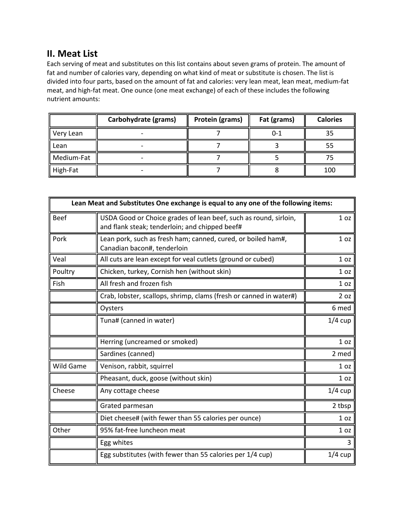# **II. Meat List**

Each serving of meat and substitutes on this list contains about seven grams of protein. The amount of fat and number of calories vary, depending on what kind of meat or substitute is chosen. The list is divided into four parts, based on the amount of fat and calories: very lean meat, lean meat, medium-fat meat, and high-fat meat. One ounce (one meat exchange) of each of these includes the following nutrient amounts:

|            | Carbohydrate (grams) | Protein (grams) | Fat (grams) | <b>Calories</b> |
|------------|----------------------|-----------------|-------------|-----------------|
| Very Lean  |                      |                 | 0-1         | 35              |
| Lean       |                      |                 |             | 55              |
| Medium-Fat |                      |                 |             |                 |
| High-Fat   |                      |                 |             | 100             |

| Lean Meat and Substitutes One exchange is equal to any one of the following items: |                                                                                                                    |                 |
|------------------------------------------------------------------------------------|--------------------------------------------------------------------------------------------------------------------|-----------------|
| <b>Beef</b>                                                                        | USDA Good or Choice grades of lean beef, such as round, sirloin,<br>and flank steak; tenderloin; and chipped beef# | 1 <sub>oz</sub> |
| Pork                                                                               | Lean pork, such as fresh ham; canned, cured, or boiled ham#,<br>Canadian bacon#, tenderloin                        | 1 <sub>oz</sub> |
| Veal                                                                               | All cuts are lean except for veal cutlets (ground or cubed)                                                        | 1 <sub>oz</sub> |
| Poultry                                                                            | Chicken, turkey, Cornish hen (without skin)                                                                        | 1 <sub>oz</sub> |
| Fish                                                                               | All fresh and frozen fish                                                                                          | 1 <sub>oz</sub> |
|                                                                                    | Crab, lobster, scallops, shrimp, clams (fresh or canned in water#)                                                 | 2 oz            |
|                                                                                    | Oysters                                                                                                            | 6 med           |
|                                                                                    | Tuna# (canned in water)                                                                                            | $1/4$ cup       |
|                                                                                    | Herring (uncreamed or smoked)                                                                                      | 1 <sub>oz</sub> |
|                                                                                    | Sardines (canned)                                                                                                  | 2 med           |
| Wild Game                                                                          | Venison, rabbit, squirrel                                                                                          | 1 <sub>oz</sub> |
|                                                                                    | Pheasant, duck, goose (without skin)                                                                               | 1 <sub>oz</sub> |
| Cheese                                                                             | Any cottage cheese                                                                                                 | $1/4$ cup       |
|                                                                                    | Grated parmesan                                                                                                    | 2 tbsp          |
|                                                                                    | Diet cheese# (with fewer than 55 calories per ounce)                                                               | 1 <sub>oz</sub> |
| Other                                                                              | 95% fat-free luncheon meat                                                                                         | 1 <sub>oz</sub> |
|                                                                                    | Egg whites                                                                                                         | 3               |
|                                                                                    | Egg substitutes (with fewer than 55 calories per 1/4 cup)                                                          | $1/4$ cup       |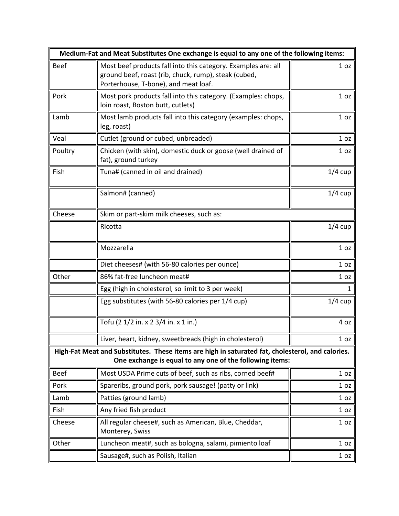| Medium-Fat and Meat Substitutes One exchange is equal to any one of the following items: |                                                                                                                                                               |                 |  |  |
|------------------------------------------------------------------------------------------|---------------------------------------------------------------------------------------------------------------------------------------------------------------|-----------------|--|--|
| <b>Beef</b>                                                                              | Most beef products fall into this category. Examples are: all<br>ground beef, roast (rib, chuck, rump), steak (cubed,<br>Porterhouse, T-bone), and meat loaf. | 1 <sub>oz</sub> |  |  |
| Pork                                                                                     | Most pork products fall into this category. (Examples: chops,<br>loin roast, Boston butt, cutlets)                                                            | 1 <sub>oz</sub> |  |  |
| Lamb                                                                                     | Most lamb products fall into this category (examples: chops,<br>leg, roast)                                                                                   | 1 <sub>oz</sub> |  |  |
| Veal                                                                                     | Cutlet (ground or cubed, unbreaded)                                                                                                                           | 1 <sub>oz</sub> |  |  |
| Poultry                                                                                  | Chicken (with skin), domestic duck or goose (well drained of<br>fat), ground turkey                                                                           | 1 <sub>oz</sub> |  |  |
| Fish                                                                                     | Tuna# (canned in oil and drained)                                                                                                                             | $1/4$ cup       |  |  |
|                                                                                          | Salmon# (canned)                                                                                                                                              | $1/4$ cup       |  |  |
| Cheese                                                                                   | Skim or part-skim milk cheeses, such as:                                                                                                                      |                 |  |  |
|                                                                                          | Ricotta                                                                                                                                                       | $1/4$ cup       |  |  |
|                                                                                          | Mozzarella                                                                                                                                                    | 1 <sub>oz</sub> |  |  |
|                                                                                          | Diet cheeses# (with 56-80 calories per ounce)                                                                                                                 | 1 <sub>oz</sub> |  |  |
| Other                                                                                    | 86% fat-free luncheon meat#                                                                                                                                   | 1 <sub>oz</sub> |  |  |
|                                                                                          | Egg (high in cholesterol, so limit to 3 per week)                                                                                                             | 1               |  |  |
|                                                                                          | Egg substitutes (with 56-80 calories per 1/4 cup)                                                                                                             | $1/4$ cup       |  |  |
|                                                                                          | Tofu (2 1/2 in. x 2 3/4 in. x 1 in.)                                                                                                                          | 4 oz            |  |  |
|                                                                                          | Liver, heart, kidney, sweetbreads (high in cholesterol)                                                                                                       | 1 <sub>oz</sub> |  |  |
|                                                                                          | High-Fat Meat and Substitutes. These items are high in saturated fat, cholesterol, and calories.<br>One exchange is equal to any one of the following items:  |                 |  |  |
| <b>Beef</b>                                                                              | Most USDA Prime cuts of beef, such as ribs, corned beef#                                                                                                      | 1 <sub>oz</sub> |  |  |
| Pork                                                                                     | Spareribs, ground pork, pork sausage! (patty or link)                                                                                                         | 1 <sub>oz</sub> |  |  |
| Lamb                                                                                     | Patties (ground lamb)                                                                                                                                         | 1 <sub>oz</sub> |  |  |
| Fish                                                                                     | Any fried fish product                                                                                                                                        | 1 <sub>oz</sub> |  |  |
| Cheese                                                                                   | All regular cheese#, such as American, Blue, Cheddar,<br>Monterey, Swiss                                                                                      | 1 <sub>oz</sub> |  |  |
| Other                                                                                    | Luncheon meat#, such as bologna, salami, pimiento loaf                                                                                                        | 1 <sub>oz</sub> |  |  |
|                                                                                          | Sausage#, such as Polish, Italian                                                                                                                             | 1 <sub>oz</sub> |  |  |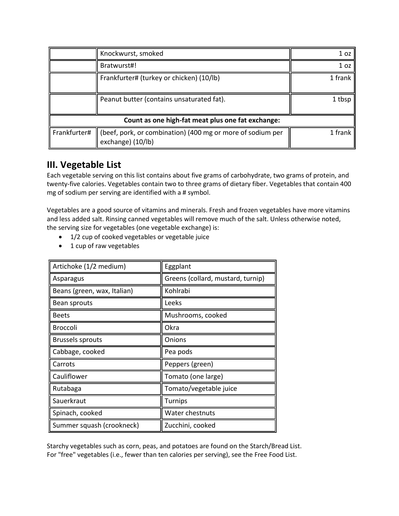|                                                   | Knockwurst, smoked                                                              | 1 oz            |
|---------------------------------------------------|---------------------------------------------------------------------------------|-----------------|
|                                                   | Bratwurst#!                                                                     | 1 <sub>oz</sub> |
|                                                   | Frankfurter# (turkey or chicken) (10/lb)                                        | 1 frank         |
|                                                   | Peanut butter (contains unsaturated fat).                                       | 1 tbsp          |
| Count as one high-fat meat plus one fat exchange: |                                                                                 |                 |
| Frankfurter#                                      | (beef, pork, or combination) (400 mg or more of sodium per<br>exchange) (10/lb) | 1 frank         |

# **III. Vegetable List**

Each vegetable serving on this list contains about five grams of carbohydrate, two grams of protein, and twenty-five calories. Vegetables contain two to three grams of dietary fiber. Vegetables that contain 400 mg of sodium per serving are identified with a # symbol.

Vegetables are a good source of vitamins and minerals. Fresh and frozen vegetables have more vitamins and less added salt. Rinsing canned vegetables will remove much of the salt. Unless otherwise noted, the serving size for vegetables (one vegetable exchange) is:

- 1/2 cup of cooked vegetables or vegetable juice
- 1 cup of raw vegetables

| Artichoke (1/2 medium)      | Eggplant                          |  |
|-----------------------------|-----------------------------------|--|
| Asparagus                   | Greens (collard, mustard, turnip) |  |
| Beans (green, wax, Italian) | Kohlrabi                          |  |
| Bean sprouts                | Leeks                             |  |
| <b>Beets</b>                | Mushrooms, cooked                 |  |
| <b>Broccoli</b>             | Okra                              |  |
| <b>Brussels sprouts</b>     | Onions                            |  |
| Cabbage, cooked             | Pea pods                          |  |
| Carrots                     | Peppers (green)                   |  |
| Cauliflower                 | Tomato (one large)                |  |
| Rutabaga                    | Tomato/vegetable juice            |  |
| Sauerkraut                  | Turnips                           |  |
| Spinach, cooked             | Water chestnuts                   |  |
| Summer squash (crookneck)   | Zucchini, cooked                  |  |

Starchy vegetables such as corn, peas, and potatoes are found on the Starch/Bread List. For "free" vegetables (i.e., fewer than ten calories per serving), see the Free Food List.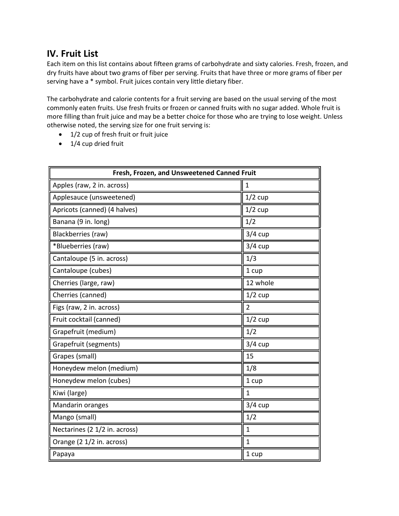# **IV. Fruit List**

Each item on this list contains about fifteen grams of carbohydrate and sixty calories. Fresh, frozen, and dry fruits have about two grams of fiber per serving. Fruits that have three or more grams of fiber per serving have a \* symbol. Fruit juices contain very little dietary fiber.

The carbohydrate and calorie contents for a fruit serving are based on the usual serving of the most commonly eaten fruits. Use fresh fruits or frozen or canned fruits with no sugar added. Whole fruit is more filling than fruit juice and may be a better choice for those who are trying to lose weight. Unless otherwise noted, the serving size for one fruit serving is:

- 1/2 cup of fresh fruit or fruit juice
- 1/4 cup dried fruit

| Fresh, Frozen, and Unsweetened Canned Fruit |                |  |
|---------------------------------------------|----------------|--|
| Apples (raw, 2 in. across)                  | 1              |  |
| Applesauce (unsweetened)                    | $1/2$ cup      |  |
| Apricots (canned) (4 halves)                | $1/2$ cup      |  |
| Banana (9 in. long)                         | 1/2            |  |
| Blackberries (raw)                          | $3/4$ cup      |  |
| *Blueberries (raw)                          | $3/4$ cup      |  |
| Cantaloupe (5 in. across)                   | 1/3            |  |
| Cantaloupe (cubes)                          | 1 cup          |  |
| Cherries (large, raw)                       | 12 whole       |  |
| Cherries (canned)                           | $1/2$ cup      |  |
| Figs (raw, 2 in. across)                    | $\overline{2}$ |  |
| Fruit cocktail (canned)                     | $1/2$ cup      |  |
| Grapefruit (medium)                         | 1/2            |  |
| Grapefruit (segments)                       | $3/4$ cup      |  |
| Grapes (small)                              | 15             |  |
| Honeydew melon (medium)                     | 1/8            |  |
| Honeydew melon (cubes)                      | 1 cup          |  |
| Kiwi (large)                                | $\mathbf{1}$   |  |
| Mandarin oranges                            | $3/4$ cup      |  |
| Mango (small)                               | 1/2            |  |
| Nectarines (2 1/2 in. across)               | $\mathbf{1}$   |  |
| Orange (2 1/2 in. across)                   | $\mathbf{1}$   |  |
| Papaya                                      | 1 cup          |  |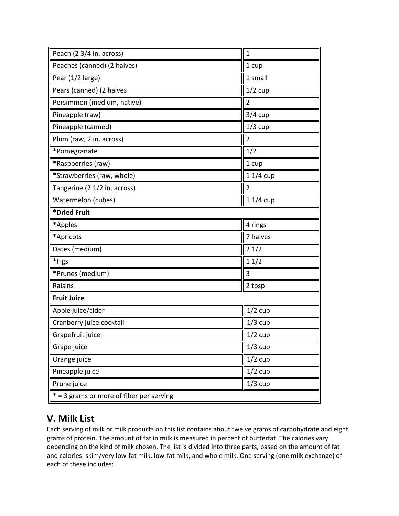| Peach (2 3/4 in. across)                   | $\mathbf{1}$   |  |
|--------------------------------------------|----------------|--|
| Peaches (canned) (2 halves)                | 1 cup          |  |
| Pear (1/2 large)                           | 1 small        |  |
| Pears (canned) (2 halves                   | $1/2$ cup      |  |
| Persimmon (medium, native)                 | $\overline{2}$ |  |
| Pineapple (raw)                            | $3/4$ cup      |  |
| Pineapple (canned)                         | $1/3$ cup      |  |
| Plum (raw, 2 in. across)                   | $\overline{2}$ |  |
| *Pomegranate                               | 1/2            |  |
| *Raspberries (raw)                         | 1 cup          |  |
| *Strawberries (raw, whole)                 | $11/4$ cup     |  |
| Tangerine (2 1/2 in. across)               | $\overline{2}$ |  |
| Watermelon (cubes)                         | $11/4$ cup     |  |
| *Dried Fruit                               |                |  |
| *Apples                                    | 4 rings        |  |
| *Apricots                                  | 7 halves       |  |
| Dates (medium)                             | 21/2           |  |
| *Figs                                      | 11/2           |  |
| *Prunes (medium)                           | 3              |  |
| Raisins                                    | 2 tbsp         |  |
| <b>Fruit Juice</b>                         |                |  |
| Apple juice/cider                          | $1/2$ cup      |  |
| Cranberry juice cocktail                   | $1/3$ cup      |  |
| Grapefruit juice                           | $1/2$ cup      |  |
| Grape juice                                | $1/3$ cup      |  |
| Orange juice                               | $1/2$ cup      |  |
| Pineapple juice                            | $1/2$ cup      |  |
| Prune juice                                | $1/3$ cup      |  |
| $* = 3$ grams or more of fiber per serving |                |  |

# **V. Milk List**

Each serving of milk or milk products on this list contains about twelve grams of carbohydrate and eight grams of protein. The amount of fat in milk is measured in percent of butterfat. The calories vary depending on the kind of milk chosen. The list is divided into three parts, based on the amount of fat and calories: skim/very low-fat milk, low-fat milk, and whole milk. One serving (one milk exchange) of each of these includes: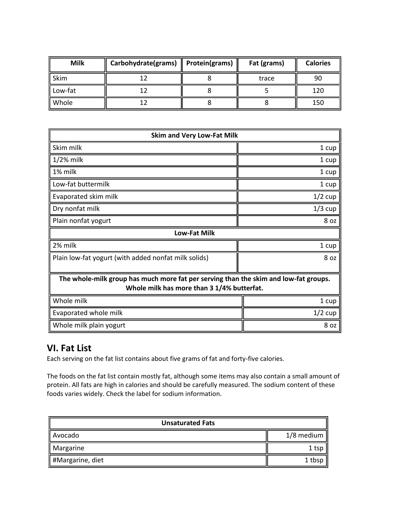| <b>Milk</b> | Carbohydrate(grams)   Protein(grams) | Fat (grams) | <b>Calories</b> |
|-------------|--------------------------------------|-------------|-----------------|
| Skim        | 1ว                                   | trace       | 90              |
| Low-fat     |                                      |             | 120             |
| Whole       |                                      |             | 150             |

| <b>Skim and Very Low-Fat Milk</b>                                                                                                  |           |  |
|------------------------------------------------------------------------------------------------------------------------------------|-----------|--|
| Skim milk                                                                                                                          | 1 cup     |  |
| $1/2%$ milk                                                                                                                        | 1 cup     |  |
| 1% milk                                                                                                                            | 1 cup     |  |
| Low-fat buttermilk                                                                                                                 | 1 cup     |  |
| Evaporated skim milk                                                                                                               | $1/2$ cup |  |
| Dry nonfat milk                                                                                                                    | $1/3$ cup |  |
| Plain nonfat yogurt                                                                                                                | 8 oz      |  |
| <b>Low-Fat Milk</b>                                                                                                                |           |  |
| 2% milk                                                                                                                            | 1 cup     |  |
| Plain low-fat yogurt (with added nonfat milk solids)                                                                               | 8 oz      |  |
| The whole-milk group has much more fat per serving than the skim and low-fat groups.<br>Whole milk has more than 3 1/4% butterfat. |           |  |
| Whole milk<br>1 cup                                                                                                                |           |  |
| Evaporated whole milk                                                                                                              | $1/2$ cup |  |
| Whole milk plain yogurt                                                                                                            | 8 oz      |  |

# **VI. Fat List**

Each serving on the fat list contains about five grams of fat and forty-five calories.

The foods on the fat list contain mostly fat, although some items may also contain a small amount of protein. All fats are high in calories and should be carefully measured. The sodium content of these foods varies widely. Check the label for sodium information.

| <b>Unsaturated Fats</b> |            |  |
|-------------------------|------------|--|
| Avocado                 | 1/8 medium |  |
| Margarine               | 1 tsp      |  |
| #Margarine, diet        | 1 tbsp     |  |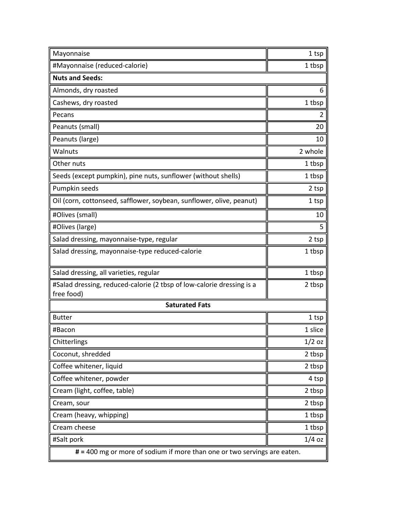| Mayonnaise                                                                          | 1 tsp    |  |
|-------------------------------------------------------------------------------------|----------|--|
| #Mayonnaise (reduced-calorie)                                                       | 1 tbsp   |  |
| <b>Nuts and Seeds:</b>                                                              |          |  |
| Almonds, dry roasted                                                                | 6        |  |
| Cashews, dry roasted                                                                | 1 tbsp   |  |
| Pecans                                                                              | 2        |  |
| Peanuts (small)                                                                     | 20       |  |
| Peanuts (large)                                                                     | 10       |  |
| Walnuts                                                                             | 2 whole  |  |
| Other nuts                                                                          | 1 tbsp   |  |
| Seeds (except pumpkin), pine nuts, sunflower (without shells)                       | 1 tbsp   |  |
| Pumpkin seeds                                                                       | 2 tsp    |  |
| Oil (corn, cottonseed, safflower, soybean, sunflower, olive, peanut)                | 1 tsp    |  |
| #Olives (small)                                                                     | 10       |  |
| #Olives (large)                                                                     | 5        |  |
| Salad dressing, mayonnaise-type, regular                                            | 2 tsp    |  |
| Salad dressing, mayonnaise-type reduced-calorie                                     | 1 tbsp   |  |
| Salad dressing, all varieties, regular                                              | 1 tbsp   |  |
| #Salad dressing, reduced-calorie (2 tbsp of low-calorie dressing is a<br>free food) | 2 tbsp   |  |
| <b>Saturated Fats</b>                                                               |          |  |
| <b>Butter</b>                                                                       | 1 tsp    |  |
| #Bacon                                                                              | 1 slice  |  |
| Chitterlings                                                                        | $1/2$ oz |  |
| Coconut, shredded                                                                   | 2 tbsp   |  |
| Coffee whitener, liquid                                                             | 2 tbsp   |  |
| Coffee whitener, powder                                                             | 4 tsp    |  |
| Cream (light, coffee, table)                                                        | 2 tbsp   |  |
| Cream, sour                                                                         | 2 tbsp   |  |
| Cream (heavy, whipping)                                                             | 1 tbsp   |  |
| Cream cheese                                                                        | 1 tbsp   |  |
| #Salt pork                                                                          | $1/4$ oz |  |
| # = 400 mg or more of sodium if more than one or two servings are eaten.            |          |  |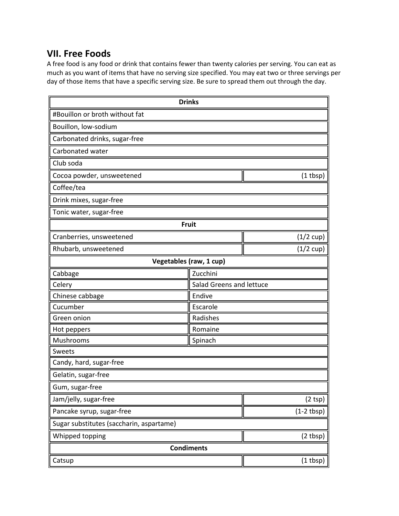### **VII. Free Foods**

A free food is any food or drink that contains fewer than twenty calories per serving. You can eat as much as you want of items that have no serving size specified. You may eat two or three servings per day of those items that have a specific serving size. Be sure to spread them out through the day.

|                                            | <b>Drinks</b>            |                     |  |
|--------------------------------------------|--------------------------|---------------------|--|
| #Bouillon or broth without fat             |                          |                     |  |
| Bouillon, low-sodium                       |                          |                     |  |
| Carbonated drinks, sugar-free              |                          |                     |  |
| Carbonated water                           |                          |                     |  |
| Club soda                                  |                          |                     |  |
| Cocoa powder, unsweetened<br>$(1$ tbsp $)$ |                          |                     |  |
| Coffee/tea                                 |                          |                     |  |
| Drink mixes, sugar-free                    |                          |                     |  |
| Tonic water, sugar-free                    |                          |                     |  |
|                                            | <b>Fruit</b>             |                     |  |
| Cranberries, unsweetened                   |                          | $(1/2 \text{ cup})$ |  |
| Rhubarb, unsweetened                       |                          | $(1/2 \text{ cup})$ |  |
| Vegetables (raw, 1 cup)                    |                          |                     |  |
| Cabbage                                    | Zucchini                 |                     |  |
| Celery                                     | Salad Greens and lettuce |                     |  |
| Chinese cabbage                            | Endive                   |                     |  |
| Cucumber<br>Escarole                       |                          |                     |  |
| Radishes<br>Green onion                    |                          |                     |  |
| Hot peppers                                | Romaine                  |                     |  |
| Mushrooms                                  | Spinach                  |                     |  |
| <b>Sweets</b>                              |                          |                     |  |
| Candy, hard, sugar-free                    |                          |                     |  |
| Gelatin, sugar-free                        |                          |                     |  |
| Gum, sugar-free                            |                          |                     |  |
| Jam/jelly, sugar-free                      |                          | (2 tsp)             |  |
| Pancake syrup, sugar-free                  |                          | $(1-2 tbsp)$        |  |
| Sugar substitutes (saccharin, aspartame)   |                          |                     |  |
| Whipped topping                            |                          | (2 tbsp)            |  |
| <b>Condiments</b>                          |                          |                     |  |
| Catsup                                     |                          | $(1$ tbsp $)$       |  |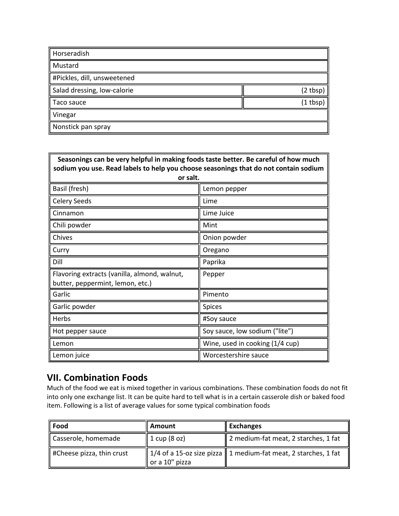| Horseradish                 |            |
|-----------------------------|------------|
| Mustard                     |            |
| #Pickles, dill, unsweetened |            |
| Salad dressing, low-calorie | (2 tbsp)   |
| Taco sauce                  | $(1$ tbsp) |
| Vinegar                     |            |
| Nonstick pan spray          |            |

| Seasonings can be very helpful in making foods taste better. Be careful of how much<br>sodium you use. Read labels to help you choose seasonings that do not contain sodium |                                 |  |
|-----------------------------------------------------------------------------------------------------------------------------------------------------------------------------|---------------------------------|--|
| or salt.                                                                                                                                                                    |                                 |  |
| Basil (fresh)                                                                                                                                                               | Lemon pepper                    |  |
| <b>Celery Seeds</b>                                                                                                                                                         | Lime                            |  |
| Cinnamon                                                                                                                                                                    | Lime Juice                      |  |
| Chili powder                                                                                                                                                                | Mint                            |  |
| Chives                                                                                                                                                                      | Onion powder                    |  |
| Curry                                                                                                                                                                       | Oregano                         |  |
| Dill                                                                                                                                                                        | Paprika                         |  |
| Flavoring extracts (vanilla, almond, walnut,<br>butter, peppermint, lemon, etc.)                                                                                            | Pepper                          |  |
| Garlic                                                                                                                                                                      | Pimento                         |  |
| Garlic powder                                                                                                                                                               | <b>Spices</b>                   |  |
| Herbs                                                                                                                                                                       | #Soy sauce                      |  |
| Hot pepper sauce                                                                                                                                                            | Soy sauce, low sodium ("lite")  |  |
| Lemon                                                                                                                                                                       | Wine, used in cooking (1/4 cup) |  |
| Lemon juice                                                                                                                                                                 | Worcestershire sauce            |  |

# **VII. Combination Foods**

Much of the food we eat is mixed together in various combinations. These combination foods do not fit into only one exchange list. It can be quite hard to tell what is in a certain casserole dish or baked food item. Following is a list of average values for some typical combination foods

| Food                                  | Amount         | <b>Exchanges</b>                                                 |
|---------------------------------------|----------------|------------------------------------------------------------------|
| Casserole, homemade                   | 1 cup (8 oz)   | 2 medium-fat meat, 2 starches, 1 fat                             |
| $\parallel$ #Cheese pizza, thin crust | or a 10" pizza | 1/4 of a 15-oz size pizza   1 medium-fat meat, 2 starches, 1 fat |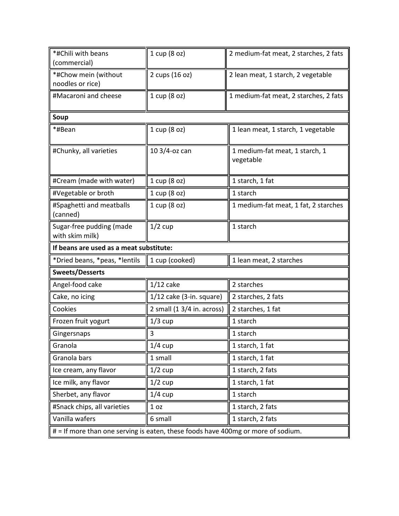| *#Chili with beans                          | 1 cup (8 oz)               | 2 medium-fat meat, 2 starches, 2 fats       |
|---------------------------------------------|----------------------------|---------------------------------------------|
| (commercial)<br>*#Chow mein (without        | 2 cups (16 oz)             | 2 lean meat, 1 starch, 2 vegetable          |
| noodles or rice)                            |                            |                                             |
| #Macaroni and cheese                        | 1 cup (8 oz)               | 1 medium-fat meat, 2 starches, 2 fats       |
| Soup                                        |                            |                                             |
| *#Bean                                      | 1 cup (8 oz)               | 1 lean meat, 1 starch, 1 vegetable          |
| #Chunky, all varieties                      | 10 3/4-oz can              | 1 medium-fat meat, 1 starch, 1<br>vegetable |
| #Cream (made with water)                    | 1 cup (8 oz)               | 1 starch, 1 fat                             |
| #Vegetable or broth                         | 1 cup (8 oz)               | 1 starch                                    |
| #Spaghetti and meatballs<br>(canned)        | 1 cup (8 oz)               | 1 medium-fat meat, 1 fat, 2 starches        |
| Sugar-free pudding (made<br>with skim milk) | $1/2$ cup                  | 1 starch                                    |
| If beans are used as a meat substitute:     |                            |                                             |
|                                             |                            |                                             |
| *Dried beans, *peas, *lentils               | 1 cup (cooked)             | 1 lean meat, 2 starches                     |
| <b>Sweets/Desserts</b>                      |                            |                                             |
| Angel-food cake                             | $1/12$ cake                | 2 starches                                  |
| Cake, no icing                              | $1/12$ cake (3-in. square) | 2 starches, 2 fats                          |
| Cookies                                     | 2 small (1 3/4 in. across) | 2 starches, 1 fat                           |
| Frozen fruit yogurt                         | $1/3$ cup                  | 1 starch                                    |
| Gingersnaps                                 | 3                          | 1 starch                                    |
| Granola                                     | $1/4$ cup                  | 1 starch, 1 fat                             |
| Granola bars                                | 1 small                    | 1 starch, 1 fat                             |
| Ice cream, any flavor                       | $1/2$ cup                  | 1 starch, 2 fats                            |
| Ice milk, any flavor                        | $1/2$ cup                  | 1 starch, 1 fat                             |
| Sherbet, any flavor                         | $1/4$ cup                  | 1 starch                                    |
| #Snack chips, all varieties                 | 1 <sub>oz</sub>            | 1 starch, 2 fats                            |
| Vanilla wafers                              | 6 small                    | 1 starch, 2 fats                            |